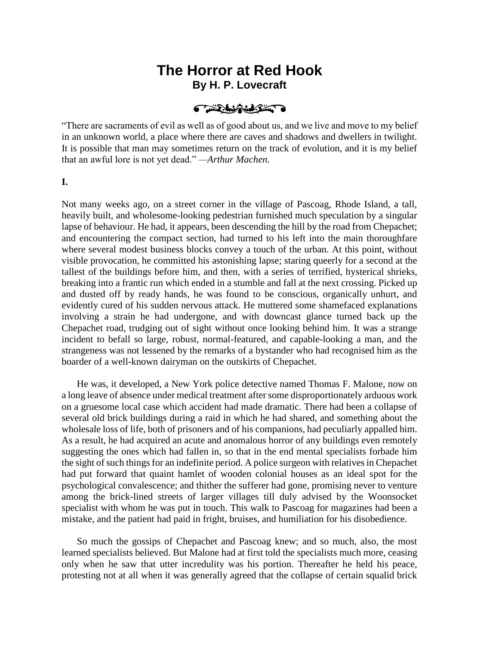# **The Horror at Red Hook By H. P. Lovecraft**

THE MANAGERY

"There are sacraments of evil as well as of good about us, and we live and move to my belief in an unknown world, a place where there are caves and shadows and dwellers in twilight. It is possible that man may sometimes return on the track of evolution, and it is my belief that an awful lore is not yet dead." *—Arthur Machen.*

**I.**

Not many weeks ago, on a street corner in the village of Pascoag, Rhode Island, a tall, heavily built, and wholesome-looking pedestrian furnished much speculation by a singular lapse of behaviour. He had, it appears, been descending the hill by the road from Chepachet; and encountering the compact section, had turned to his left into the main thoroughfare where several modest business blocks convey a touch of the urban. At this point, without visible provocation, he committed his astonishing lapse; staring queerly for a second at the tallest of the buildings before him, and then, with a series of terrified, hysterical shrieks, breaking into a frantic run which ended in a stumble and fall at the next crossing. Picked up and dusted off by ready hands, he was found to be conscious, organically unhurt, and evidently cured of his sudden nervous attack. He muttered some shamefaced explanations involving a strain he had undergone, and with downcast glance turned back up the Chepachet road, trudging out of sight without once looking behind him. It was a strange incident to befall so large, robust, normal-featured, and capable-looking a man, and the strangeness was not lessened by the remarks of a bystander who had recognised him as the boarder of a well-known dairyman on the outskirts of Chepachet.

He was, it developed, a New York police detective named Thomas F. Malone, now on a long leave of absence under medical treatment after some disproportionately arduous work on a gruesome local case which accident had made dramatic. There had been a collapse of several old brick buildings during a raid in which he had shared, and something about the wholesale loss of life, both of prisoners and of his companions, had peculiarly appalled him. As a result, he had acquired an acute and anomalous horror of any buildings even remotely suggesting the ones which had fallen in, so that in the end mental specialists forbade him the sight of such things for an indefinite period. A police surgeon with relatives in Chepachet had put forward that quaint hamlet of wooden colonial houses as an ideal spot for the psychological convalescence; and thither the sufferer had gone, promising never to venture among the brick-lined streets of larger villages till duly advised by the Woonsocket specialist with whom he was put in touch. This walk to Pascoag for magazines had been a mistake, and the patient had paid in fright, bruises, and humiliation for his disobedience.

So much the gossips of Chepachet and Pascoag knew; and so much, also, the most learned specialists believed. But Malone had at first told the specialists much more, ceasing only when he saw that utter incredulity was his portion. Thereafter he held his peace, protesting not at all when it was generally agreed that the collapse of certain squalid brick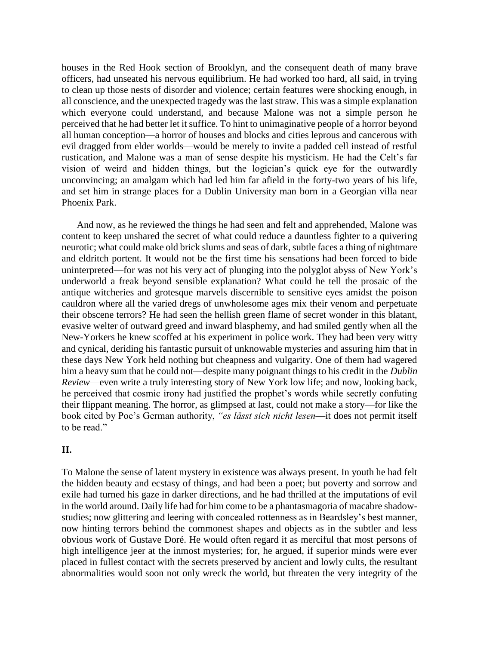houses in the Red Hook section of Brooklyn, and the consequent death of many brave officers, had unseated his nervous equilibrium. He had worked too hard, all said, in trying to clean up those nests of disorder and violence; certain features were shocking enough, in all conscience, and the unexpected tragedy was the last straw. This was a simple explanation which everyone could understand, and because Malone was not a simple person he perceived that he had better let it suffice. To hint to unimaginative people of a horror beyond all human conception—a horror of houses and blocks and cities leprous and cancerous with evil dragged from elder worlds—would be merely to invite a padded cell instead of restful rustication, and Malone was a man of sense despite his mysticism. He had the Celt's far vision of weird and hidden things, but the logician's quick eye for the outwardly unconvincing; an amalgam which had led him far afield in the forty-two years of his life, and set him in strange places for a Dublin University man born in a Georgian villa near Phoenix Park.

And now, as he reviewed the things he had seen and felt and apprehended, Malone was content to keep unshared the secret of what could reduce a dauntless fighter to a quivering neurotic; what could make old brick slums and seas of dark, subtle faces a thing of nightmare and eldritch portent. It would not be the first time his sensations had been forced to bide uninterpreted—for was not his very act of plunging into the polyglot abyss of New York's underworld a freak beyond sensible explanation? What could he tell the prosaic of the antique witcheries and grotesque marvels discernible to sensitive eyes amidst the poison cauldron where all the varied dregs of unwholesome ages mix their venom and perpetuate their obscene terrors? He had seen the hellish green flame of secret wonder in this blatant, evasive welter of outward greed and inward blasphemy, and had smiled gently when all the New-Yorkers he knew scoffed at his experiment in police work. They had been very witty and cynical, deriding his fantastic pursuit of unknowable mysteries and assuring him that in these days New York held nothing but cheapness and vulgarity. One of them had wagered him a heavy sum that he could not—despite many poignant things to his credit in the *Dublin Review*—even write a truly interesting story of New York low life; and now, looking back, he perceived that cosmic irony had justified the prophet's words while secretly confuting their flippant meaning. The horror, as glimpsed at last, could not make a story—for like the book cited by Poe's German authority, *"es lässt sich nicht lesen*—it does not permit itself to be read."

## **II.**

To Malone the sense of latent mystery in existence was always present. In youth he had felt the hidden beauty and ecstasy of things, and had been a poet; but poverty and sorrow and exile had turned his gaze in darker directions, and he had thrilled at the imputations of evil in the world around. Daily life had for him come to be a phantasmagoria of macabre shadowstudies; now glittering and leering with concealed rottenness as in Beardsley's best manner, now hinting terrors behind the commonest shapes and objects as in the subtler and less obvious work of Gustave Doré. He would often regard it as merciful that most persons of high intelligence jeer at the inmost mysteries; for, he argued, if superior minds were ever placed in fullest contact with the secrets preserved by ancient and lowly cults, the resultant abnormalities would soon not only wreck the world, but threaten the very integrity of the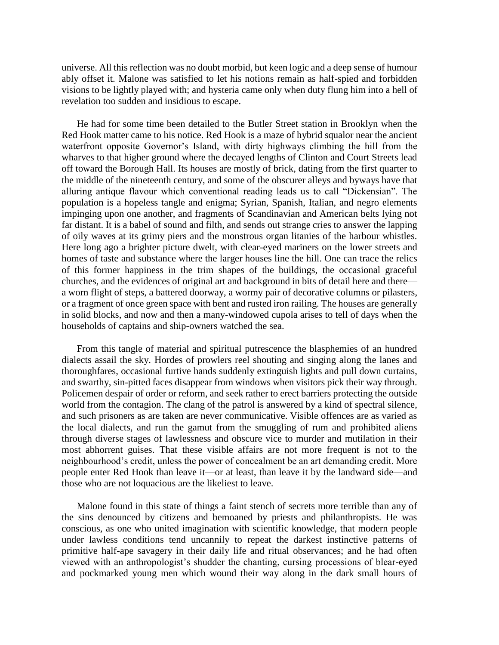universe. All this reflection was no doubt morbid, but keen logic and a deep sense of humour ably offset it. Malone was satisfied to let his notions remain as half-spied and forbidden visions to be lightly played with; and hysteria came only when duty flung him into a hell of revelation too sudden and insidious to escape.

He had for some time been detailed to the Butler Street station in Brooklyn when the Red Hook matter came to his notice. Red Hook is a maze of hybrid squalor near the ancient waterfront opposite Governor's Island, with dirty highways climbing the hill from the wharves to that higher ground where the decayed lengths of Clinton and Court Streets lead off toward the Borough Hall. Its houses are mostly of brick, dating from the first quarter to the middle of the nineteenth century, and some of the obscurer alleys and byways have that alluring antique flavour which conventional reading leads us to call "Dickensian". The population is a hopeless tangle and enigma; Syrian, Spanish, Italian, and negro elements impinging upon one another, and fragments of Scandinavian and American belts lying not far distant. It is a babel of sound and filth, and sends out strange cries to answer the lapping of oily waves at its grimy piers and the monstrous organ litanies of the harbour whistles. Here long ago a brighter picture dwelt, with clear-eyed mariners on the lower streets and homes of taste and substance where the larger houses line the hill. One can trace the relics of this former happiness in the trim shapes of the buildings, the occasional graceful churches, and the evidences of original art and background in bits of detail here and there a worn flight of steps, a battered doorway, a wormy pair of decorative columns or pilasters, or a fragment of once green space with bent and rusted iron railing. The houses are generally in solid blocks, and now and then a many-windowed cupola arises to tell of days when the households of captains and ship-owners watched the sea.

From this tangle of material and spiritual putrescence the blasphemies of an hundred dialects assail the sky. Hordes of prowlers reel shouting and singing along the lanes and thoroughfares, occasional furtive hands suddenly extinguish lights and pull down curtains, and swarthy, sin-pitted faces disappear from windows when visitors pick their way through. Policemen despair of order or reform, and seek rather to erect barriers protecting the outside world from the contagion. The clang of the patrol is answered by a kind of spectral silence, and such prisoners as are taken are never communicative. Visible offences are as varied as the local dialects, and run the gamut from the smuggling of rum and prohibited aliens through diverse stages of lawlessness and obscure vice to murder and mutilation in their most abhorrent guises. That these visible affairs are not more frequent is not to the neighbourhood's credit, unless the power of concealment be an art demanding credit. More people enter Red Hook than leave it—or at least, than leave it by the landward side—and those who are not loquacious are the likeliest to leave.

Malone found in this state of things a faint stench of secrets more terrible than any of the sins denounced by citizens and bemoaned by priests and philanthropists. He was conscious, as one who united imagination with scientific knowledge, that modern people under lawless conditions tend uncannily to repeat the darkest instinctive patterns of primitive half-ape savagery in their daily life and ritual observances; and he had often viewed with an anthropologist's shudder the chanting, cursing processions of blear-eyed and pockmarked young men which wound their way along in the dark small hours of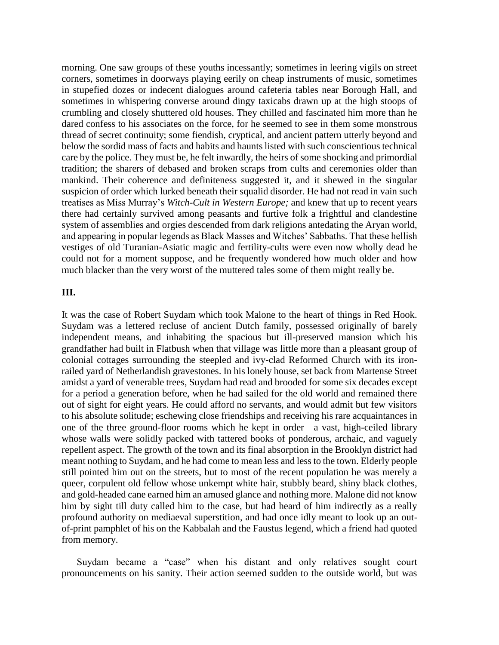morning. One saw groups of these youths incessantly; sometimes in leering vigils on street corners, sometimes in doorways playing eerily on cheap instruments of music, sometimes in stupefied dozes or indecent dialogues around cafeteria tables near Borough Hall, and sometimes in whispering converse around dingy taxicabs drawn up at the high stoops of crumbling and closely shuttered old houses. They chilled and fascinated him more than he dared confess to his associates on the force, for he seemed to see in them some monstrous thread of secret continuity; some fiendish, cryptical, and ancient pattern utterly beyond and below the sordid mass of facts and habits and haunts listed with such conscientious technical care by the police. They must be, he felt inwardly, the heirs of some shocking and primordial tradition; the sharers of debased and broken scraps from cults and ceremonies older than mankind. Their coherence and definiteness suggested it, and it shewed in the singular suspicion of order which lurked beneath their squalid disorder. He had not read in vain such treatises as Miss Murray's *Witch-Cult in Western Europe;* and knew that up to recent years there had certainly survived among peasants and furtive folk a frightful and clandestine system of assemblies and orgies descended from dark religions antedating the Aryan world, and appearing in popular legends as Black Masses and Witches' Sabbaths. That these hellish vestiges of old Turanian-Asiatic magic and fertility-cults were even now wholly dead he could not for a moment suppose, and he frequently wondered how much older and how much blacker than the very worst of the muttered tales some of them might really be.

#### **III.**

It was the case of Robert Suydam which took Malone to the heart of things in Red Hook. Suydam was a lettered recluse of ancient Dutch family, possessed originally of barely independent means, and inhabiting the spacious but ill-preserved mansion which his grandfather had built in Flatbush when that village was little more than a pleasant group of colonial cottages surrounding the steepled and ivy-clad Reformed Church with its ironrailed yard of Netherlandish gravestones. In his lonely house, set back from Martense Street amidst a yard of venerable trees, Suydam had read and brooded for some six decades except for a period a generation before, when he had sailed for the old world and remained there out of sight for eight years. He could afford no servants, and would admit but few visitors to his absolute solitude; eschewing close friendships and receiving his rare acquaintances in one of the three ground-floor rooms which he kept in order—a vast, high-ceiled library whose walls were solidly packed with tattered books of ponderous, archaic, and vaguely repellent aspect. The growth of the town and its final absorption in the Brooklyn district had meant nothing to Suydam, and he had come to mean less and less to the town. Elderly people still pointed him out on the streets, but to most of the recent population he was merely a queer, corpulent old fellow whose unkempt white hair, stubbly beard, shiny black clothes, and gold-headed cane earned him an amused glance and nothing more. Malone did not know him by sight till duty called him to the case, but had heard of him indirectly as a really profound authority on mediaeval superstition, and had once idly meant to look up an outof-print pamphlet of his on the Kabbalah and the Faustus legend, which a friend had quoted from memory.

Suydam became a "case" when his distant and only relatives sought court pronouncements on his sanity. Their action seemed sudden to the outside world, but was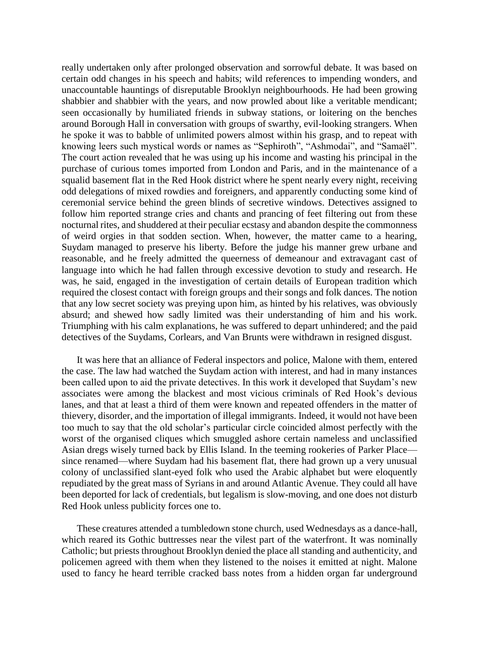really undertaken only after prolonged observation and sorrowful debate. It was based on certain odd changes in his speech and habits; wild references to impending wonders, and unaccountable hauntings of disreputable Brooklyn neighbourhoods. He had been growing shabbier and shabbier with the years, and now prowled about like a veritable mendicant; seen occasionally by humiliated friends in subway stations, or loitering on the benches around Borough Hall in conversation with groups of swarthy, evil-looking strangers. When he spoke it was to babble of unlimited powers almost within his grasp, and to repeat with knowing leers such mystical words or names as "Sephiroth", "Ashmodai", and "Samaël". The court action revealed that he was using up his income and wasting his principal in the purchase of curious tomes imported from London and Paris, and in the maintenance of a squalid basement flat in the Red Hook district where he spent nearly every night, receiving odd delegations of mixed rowdies and foreigners, and apparently conducting some kind of ceremonial service behind the green blinds of secretive windows. Detectives assigned to follow him reported strange cries and chants and prancing of feet filtering out from these nocturnal rites, and shuddered at their peculiar ecstasy and abandon despite the commonness of weird orgies in that sodden section. When, however, the matter came to a hearing, Suydam managed to preserve his liberty. Before the judge his manner grew urbane and reasonable, and he freely admitted the queerness of demeanour and extravagant cast of language into which he had fallen through excessive devotion to study and research. He was, he said, engaged in the investigation of certain details of European tradition which required the closest contact with foreign groups and their songs and folk dances. The notion that any low secret society was preying upon him, as hinted by his relatives, was obviously absurd; and shewed how sadly limited was their understanding of him and his work. Triumphing with his calm explanations, he was suffered to depart unhindered; and the paid detectives of the Suydams, Corlears, and Van Brunts were withdrawn in resigned disgust.

It was here that an alliance of Federal inspectors and police, Malone with them, entered the case. The law had watched the Suydam action with interest, and had in many instances been called upon to aid the private detectives. In this work it developed that Suydam's new associates were among the blackest and most vicious criminals of Red Hook's devious lanes, and that at least a third of them were known and repeated offenders in the matter of thievery, disorder, and the importation of illegal immigrants. Indeed, it would not have been too much to say that the old scholar's particular circle coincided almost perfectly with the worst of the organised cliques which smuggled ashore certain nameless and unclassified Asian dregs wisely turned back by Ellis Island. In the teeming rookeries of Parker Place since renamed—where Suydam had his basement flat, there had grown up a very unusual colony of unclassified slant-eyed folk who used the Arabic alphabet but were eloquently repudiated by the great mass of Syrians in and around Atlantic Avenue. They could all have been deported for lack of credentials, but legalism is slow-moving, and one does not disturb Red Hook unless publicity forces one to.

These creatures attended a tumbledown stone church, used Wednesdays as a dance-hall, which reared its Gothic buttresses near the vilest part of the waterfront. It was nominally Catholic; but priests throughout Brooklyn denied the place all standing and authenticity, and policemen agreed with them when they listened to the noises it emitted at night. Malone used to fancy he heard terrible cracked bass notes from a hidden organ far underground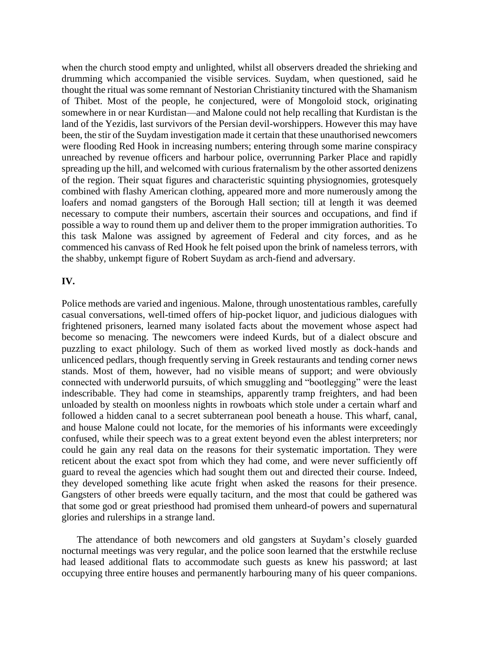when the church stood empty and unlighted, whilst all observers dreaded the shrieking and drumming which accompanied the visible services. Suydam, when questioned, said he thought the ritual was some remnant of Nestorian Christianity tinctured with the Shamanism of Thibet. Most of the people, he conjectured, were of Mongoloid stock, originating somewhere in or near Kurdistan—and Malone could not help recalling that Kurdistan is the land of the Yezidis, last survivors of the Persian devil-worshippers. However this may have been, the stir of the Suydam investigation made it certain that these unauthorised newcomers were flooding Red Hook in increasing numbers; entering through some marine conspiracy unreached by revenue officers and harbour police, overrunning Parker Place and rapidly spreading up the hill, and welcomed with curious fraternalism by the other assorted denizens of the region. Their squat figures and characteristic squinting physiognomies, grotesquely combined with flashy American clothing, appeared more and more numerously among the loafers and nomad gangsters of the Borough Hall section; till at length it was deemed necessary to compute their numbers, ascertain their sources and occupations, and find if possible a way to round them up and deliver them to the proper immigration authorities. To this task Malone was assigned by agreement of Federal and city forces, and as he commenced his canvass of Red Hook he felt poised upon the brink of nameless terrors, with the shabby, unkempt figure of Robert Suydam as arch-fiend and adversary.

## **IV.**

Police methods are varied and ingenious. Malone, through unostentatious rambles, carefully casual conversations, well-timed offers of hip-pocket liquor, and judicious dialogues with frightened prisoners, learned many isolated facts about the movement whose aspect had become so menacing. The newcomers were indeed Kurds, but of a dialect obscure and puzzling to exact philology. Such of them as worked lived mostly as dock-hands and unlicenced pedlars, though frequently serving in Greek restaurants and tending corner news stands. Most of them, however, had no visible means of support; and were obviously connected with underworld pursuits, of which smuggling and "bootlegging" were the least indescribable. They had come in steamships, apparently tramp freighters, and had been unloaded by stealth on moonless nights in rowboats which stole under a certain wharf and followed a hidden canal to a secret subterranean pool beneath a house. This wharf, canal, and house Malone could not locate, for the memories of his informants were exceedingly confused, while their speech was to a great extent beyond even the ablest interpreters; nor could he gain any real data on the reasons for their systematic importation. They were reticent about the exact spot from which they had come, and were never sufficiently off guard to reveal the agencies which had sought them out and directed their course. Indeed, they developed something like acute fright when asked the reasons for their presence. Gangsters of other breeds were equally taciturn, and the most that could be gathered was that some god or great priesthood had promised them unheard-of powers and supernatural glories and rulerships in a strange land.

The attendance of both newcomers and old gangsters at Suydam's closely guarded nocturnal meetings was very regular, and the police soon learned that the erstwhile recluse had leased additional flats to accommodate such guests as knew his password; at last occupying three entire houses and permanently harbouring many of his queer companions.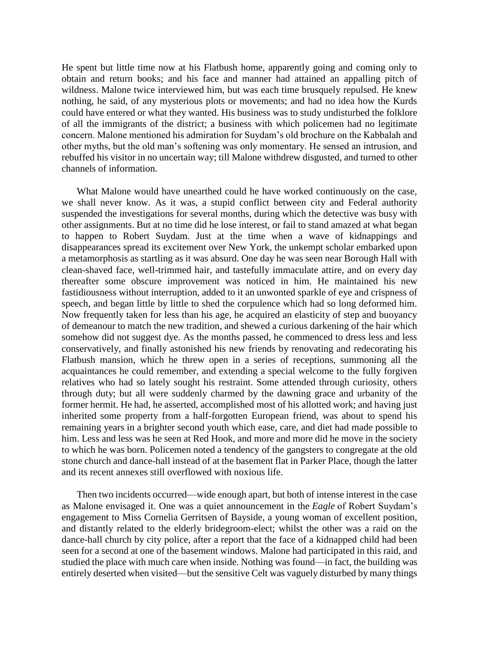He spent but little time now at his Flatbush home, apparently going and coming only to obtain and return books; and his face and manner had attained an appalling pitch of wildness. Malone twice interviewed him, but was each time brusquely repulsed. He knew nothing, he said, of any mysterious plots or movements; and had no idea how the Kurds could have entered or what they wanted. His business was to study undisturbed the folklore of all the immigrants of the district; a business with which policemen had no legitimate concern. Malone mentioned his admiration for Suydam's old brochure on the Kabbalah and other myths, but the old man's softening was only momentary. He sensed an intrusion, and rebuffed his visitor in no uncertain way; till Malone withdrew disgusted, and turned to other channels of information.

What Malone would have unearthed could he have worked continuously on the case, we shall never know. As it was, a stupid conflict between city and Federal authority suspended the investigations for several months, during which the detective was busy with other assignments. But at no time did he lose interest, or fail to stand amazed at what began to happen to Robert Suydam. Just at the time when a wave of kidnappings and disappearances spread its excitement over New York, the unkempt scholar embarked upon a metamorphosis as startling as it was absurd. One day he was seen near Borough Hall with clean-shaved face, well-trimmed hair, and tastefully immaculate attire, and on every day thereafter some obscure improvement was noticed in him. He maintained his new fastidiousness without interruption, added to it an unwonted sparkle of eye and crispness of speech, and began little by little to shed the corpulence which had so long deformed him. Now frequently taken for less than his age, he acquired an elasticity of step and buoyancy of demeanour to match the new tradition, and shewed a curious darkening of the hair which somehow did not suggest dye. As the months passed, he commenced to dress less and less conservatively, and finally astonished his new friends by renovating and redecorating his Flatbush mansion, which he threw open in a series of receptions, summoning all the acquaintances he could remember, and extending a special welcome to the fully forgiven relatives who had so lately sought his restraint. Some attended through curiosity, others through duty; but all were suddenly charmed by the dawning grace and urbanity of the former hermit. He had, he asserted, accomplished most of his allotted work; and having just inherited some property from a half-forgotten European friend, was about to spend his remaining years in a brighter second youth which ease, care, and diet had made possible to him. Less and less was he seen at Red Hook, and more and more did he move in the society to which he was born. Policemen noted a tendency of the gangsters to congregate at the old stone church and dance-hall instead of at the basement flat in Parker Place, though the latter and its recent annexes still overflowed with noxious life.

Then two incidents occurred—wide enough apart, but both of intense interest in the case as Malone envisaged it. One was a quiet announcement in the *Eagle* of Robert Suydam's engagement to Miss Cornelia Gerritsen of Bayside, a young woman of excellent position, and distantly related to the elderly bridegroom-elect; whilst the other was a raid on the dance-hall church by city police, after a report that the face of a kidnapped child had been seen for a second at one of the basement windows. Malone had participated in this raid, and studied the place with much care when inside. Nothing was found—in fact, the building was entirely deserted when visited—but the sensitive Celt was vaguely disturbed by many things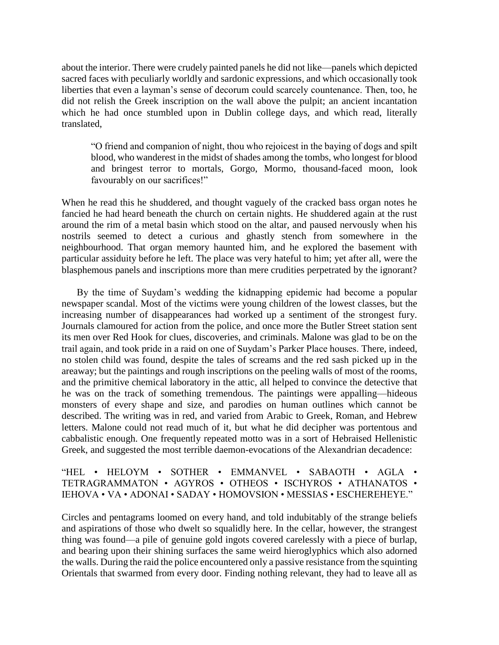about the interior. There were crudely painted panels he did not like—panels which depicted sacred faces with peculiarly worldly and sardonic expressions, and which occasionally took liberties that even a layman's sense of decorum could scarcely countenance. Then, too, he did not relish the Greek inscription on the wall above the pulpit; an ancient incantation which he had once stumbled upon in Dublin college days, and which read, literally translated,

"O friend and companion of night, thou who rejoicest in the baying of dogs and spilt blood, who wanderest in the midst of shades among the tombs, who longest for blood and bringest terror to mortals, Gorgo, Mormo, thousand-faced moon, look favourably on our sacrifices!"

When he read this he shuddered, and thought vaguely of the cracked bass organ notes he fancied he had heard beneath the church on certain nights. He shuddered again at the rust around the rim of a metal basin which stood on the altar, and paused nervously when his nostrils seemed to detect a curious and ghastly stench from somewhere in the neighbourhood. That organ memory haunted him, and he explored the basement with particular assiduity before he left. The place was very hateful to him; yet after all, were the blasphemous panels and inscriptions more than mere crudities perpetrated by the ignorant?

By the time of Suydam's wedding the kidnapping epidemic had become a popular newspaper scandal. Most of the victims were young children of the lowest classes, but the increasing number of disappearances had worked up a sentiment of the strongest fury. Journals clamoured for action from the police, and once more the Butler Street station sent its men over Red Hook for clues, discoveries, and criminals. Malone was glad to be on the trail again, and took pride in a raid on one of Suydam's Parker Place houses. There, indeed, no stolen child was found, despite the tales of screams and the red sash picked up in the areaway; but the paintings and rough inscriptions on the peeling walls of most of the rooms, and the primitive chemical laboratory in the attic, all helped to convince the detective that he was on the track of something tremendous. The paintings were appalling—hideous monsters of every shape and size, and parodies on human outlines which cannot be described. The writing was in red, and varied from Arabic to Greek, Roman, and Hebrew letters. Malone could not read much of it, but what he did decipher was portentous and cabbalistic enough. One frequently repeated motto was in a sort of Hebraised Hellenistic Greek, and suggested the most terrible daemon-evocations of the Alexandrian decadence:

"HEL • HELOYM • SOTHER • EMMANVEL • SABAOTH • AGLA • TETRAGRAMMATON • AGYROS • OTHEOS • ISCHYROS • ATHANATOS • IEHOVA • VA • ADONAI • SADAY • HOMOVSION • MESSIAS • ESCHEREHEYE."

Circles and pentagrams loomed on every hand, and told indubitably of the strange beliefs and aspirations of those who dwelt so squalidly here. In the cellar, however, the strangest thing was found—a pile of genuine gold ingots covered carelessly with a piece of burlap, and bearing upon their shining surfaces the same weird hieroglyphics which also adorned the walls. During the raid the police encountered only a passive resistance from the squinting Orientals that swarmed from every door. Finding nothing relevant, they had to leave all as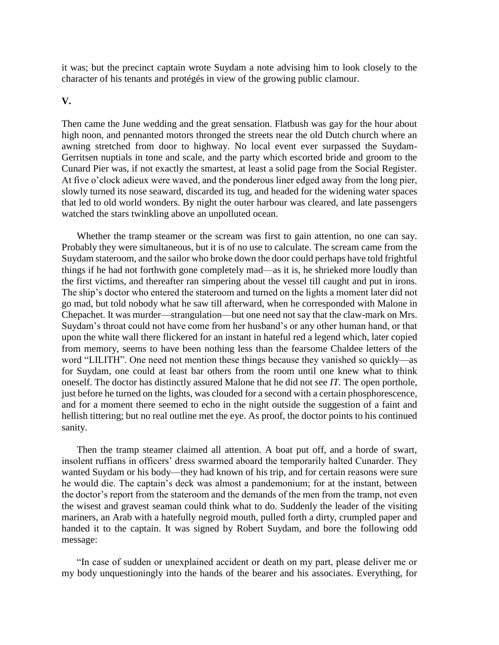it was; but the precinct captain wrote Suydam a note advising him to look closely to the character of his tenants and protégés in view of the growing public clamour.

## **V.**

Then came the June wedding and the great sensation. Flatbush was gay for the hour about high noon, and pennanted motors thronged the streets near the old Dutch church where an awning stretched from door to highway. No local event ever surpassed the Suydam-Gerritsen nuptials in tone and scale, and the party which escorted bride and groom to the Cunard Pier was, if not exactly the smartest, at least a solid page from the Social Register. At five o'clock adieux were waved, and the ponderous liner edged away from the long pier, slowly turned its nose seaward, discarded its tug, and headed for the widening water spaces that led to old world wonders. By night the outer harbour was cleared, and late passengers watched the stars twinkling above an unpolluted ocean.

Whether the tramp steamer or the scream was first to gain attention, no one can say. Probably they were simultaneous, but it is of no use to calculate. The scream came from the Suydam stateroom, and the sailor who broke down the door could perhaps have told frightful things if he had not forthwith gone completely mad—as it is, he shrieked more loudly than the first victims, and thereafter ran simpering about the vessel till caught and put in irons. The ship's doctor who entered the stateroom and turned on the lights a moment later did not go mad, but told nobody what he saw till afterward, when he corresponded with Malone in Chepachet. It was murder—strangulation—but one need not say that the claw-mark on Mrs. Suydam's throat could not have come from her husband's or any other human hand, or that upon the white wall there flickered for an instant in hateful red a legend which, later copied from memory, seems to have been nothing less than the fearsome Chaldee letters of the word "LILITH". One need not mention these things because they vanished so quickly—as for Suydam, one could at least bar others from the room until one knew what to think oneself. The doctor has distinctly assured Malone that he did not see *IT.* The open porthole, just before he turned on the lights, was clouded for a second with a certain phosphorescence, and for a moment there seemed to echo in the night outside the suggestion of a faint and hellish tittering; but no real outline met the eye. As proof, the doctor points to his continued sanity.

Then the tramp steamer claimed all attention. A boat put off, and a horde of swart, insolent ruffians in officers' dress swarmed aboard the temporarily halted Cunarder. They wanted Suydam or his body—they had known of his trip, and for certain reasons were sure he would die. The captain's deck was almost a pandemonium; for at the instant, between the doctor's report from the stateroom and the demands of the men from the tramp, not even the wisest and gravest seaman could think what to do. Suddenly the leader of the visiting mariners, an Arab with a hatefully negroid mouth, pulled forth a dirty, crumpled paper and handed it to the captain. It was signed by Robert Suydam, and bore the following odd message:

"In case of sudden or unexplained accident or death on my part, please deliver me or my body unquestioningly into the hands of the bearer and his associates. Everything, for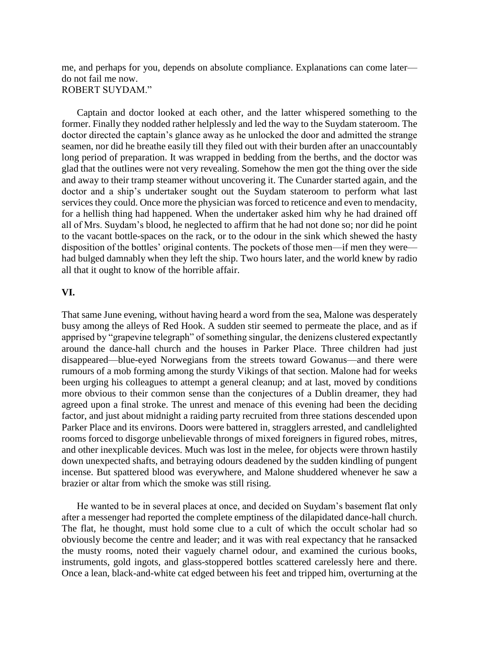me, and perhaps for you, depends on absolute compliance. Explanations can come later do not fail me now. ROBERT SUYDAM."

Captain and doctor looked at each other, and the latter whispered something to the former. Finally they nodded rather helplessly and led the way to the Suydam stateroom. The doctor directed the captain's glance away as he unlocked the door and admitted the strange seamen, nor did he breathe easily till they filed out with their burden after an unaccountably long period of preparation. It was wrapped in bedding from the berths, and the doctor was glad that the outlines were not very revealing. Somehow the men got the thing over the side and away to their tramp steamer without uncovering it. The Cunarder started again, and the doctor and a ship's undertaker sought out the Suydam stateroom to perform what last services they could. Once more the physician was forced to reticence and even to mendacity, for a hellish thing had happened. When the undertaker asked him why he had drained off all of Mrs. Suydam's blood, he neglected to affirm that he had not done so; nor did he point to the vacant bottle-spaces on the rack, or to the odour in the sink which shewed the hasty disposition of the bottles' original contents. The pockets of those men—if men they were had bulged damnably when they left the ship. Two hours later, and the world knew by radio all that it ought to know of the horrible affair.

#### **VI.**

That same June evening, without having heard a word from the sea, Malone was desperately busy among the alleys of Red Hook. A sudden stir seemed to permeate the place, and as if apprised by "grapevine telegraph" of something singular, the denizens clustered expectantly around the dance-hall church and the houses in Parker Place. Three children had just disappeared—blue-eyed Norwegians from the streets toward Gowanus—and there were rumours of a mob forming among the sturdy Vikings of that section. Malone had for weeks been urging his colleagues to attempt a general cleanup; and at last, moved by conditions more obvious to their common sense than the conjectures of a Dublin dreamer, they had agreed upon a final stroke. The unrest and menace of this evening had been the deciding factor, and just about midnight a raiding party recruited from three stations descended upon Parker Place and its environs. Doors were battered in, stragglers arrested, and candlelighted rooms forced to disgorge unbelievable throngs of mixed foreigners in figured robes, mitres, and other inexplicable devices. Much was lost in the melee, for objects were thrown hastily down unexpected shafts, and betraying odours deadened by the sudden kindling of pungent incense. But spattered blood was everywhere, and Malone shuddered whenever he saw a brazier or altar from which the smoke was still rising.

He wanted to be in several places at once, and decided on Suydam's basement flat only after a messenger had reported the complete emptiness of the dilapidated dance-hall church. The flat, he thought, must hold some clue to a cult of which the occult scholar had so obviously become the centre and leader; and it was with real expectancy that he ransacked the musty rooms, noted their vaguely charnel odour, and examined the curious books, instruments, gold ingots, and glass-stoppered bottles scattered carelessly here and there. Once a lean, black-and-white cat edged between his feet and tripped him, overturning at the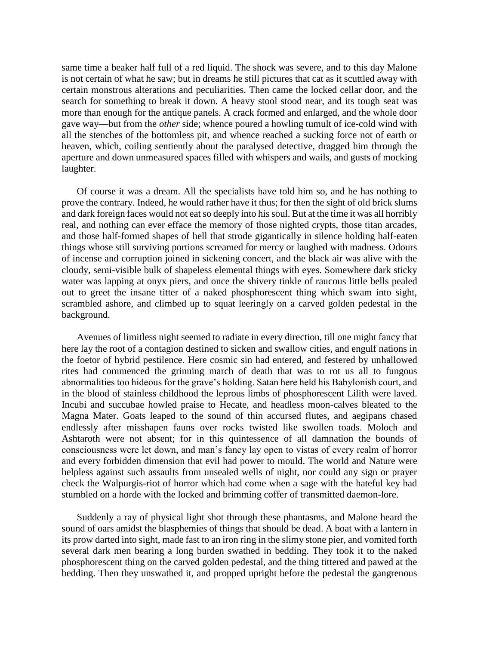same time a beaker half full of a red liquid. The shock was severe, and to this day Malone is not certain of what he saw; but in dreams he still pictures that cat as it scuttled away with certain monstrous alterations and peculiarities. Then came the locked cellar door, and the search for something to break it down. A heavy stool stood near, and its tough seat was more than enough for the antique panels. A crack formed and enlarged, and the whole door gave way—but from the *other* side; whence poured a howling tumult of ice-cold wind with all the stenches of the bottomless pit, and whence reached a sucking force not of earth or heaven, which, coiling sentiently about the paralysed detective, dragged him through the aperture and down unmeasured spaces filled with whispers and wails, and gusts of mocking laughter.

Of course it was a dream. All the specialists have told him so, and he has nothing to prove the contrary. Indeed, he would rather have it thus; for then the sight of old brick slums and dark foreign faces would not eat so deeply into his soul. But at the time it was all horribly real, and nothing can ever efface the memory of those nighted crypts, those titan arcades, and those half-formed shapes of hell that strode gigantically in silence holding half-eaten things whose still surviving portions screamed for mercy or laughed with madness. Odours of incense and corruption joined in sickening concert, and the black air was alive with the cloudy, semi-visible bulk of shapeless elemental things with eyes. Somewhere dark sticky water was lapping at onyx piers, and once the shivery tinkle of raucous little bells pealed out to greet the insane titter of a naked phosphorescent thing which swam into sight, scrambled ashore, and climbed up to squat leeringly on a carved golden pedestal in the background.

Avenues of limitless night seemed to radiate in every direction, till one might fancy that here lay the root of a contagion destined to sicken and swallow cities, and engulf nations in the foetor of hybrid pestilence. Here cosmic sin had entered, and festered by unhallowed rites had commenced the grinning march of death that was to rot us all to fungous abnormalities too hideous for the grave's holding. Satan here held his Babylonish court, and in the blood of stainless childhood the leprous limbs of phosphorescent Lilith were laved. Incubi and succubae howled praise to Hecate, and headless moon-calves bleated to the Magna Mater. Goats leaped to the sound of thin accursed flutes, and aegipans chased endlessly after misshapen fauns over rocks twisted like swollen toads. Moloch and Ashtaroth were not absent; for in this quintessence of all damnation the bounds of consciousness were let down, and man's fancy lay open to vistas of every realm of horror and every forbidden dimension that evil had power to mould. The world and Nature were helpless against such assaults from unsealed wells of night, nor could any sign or prayer check the Walpurgis-riot of horror which had come when a sage with the hateful key had stumbled on a horde with the locked and brimming coffer of transmitted daemon-lore.

Suddenly a ray of physical light shot through these phantasms, and Malone heard the sound of oars amidst the blasphemies of things that should be dead. A boat with a lantern in its prow darted into sight, made fast to an iron ring in the slimy stone pier, and vomited forth several dark men bearing a long burden swathed in bedding. They took it to the naked phosphorescent thing on the carved golden pedestal, and the thing tittered and pawed at the bedding. Then they unswathed it, and propped upright before the pedestal the gangrenous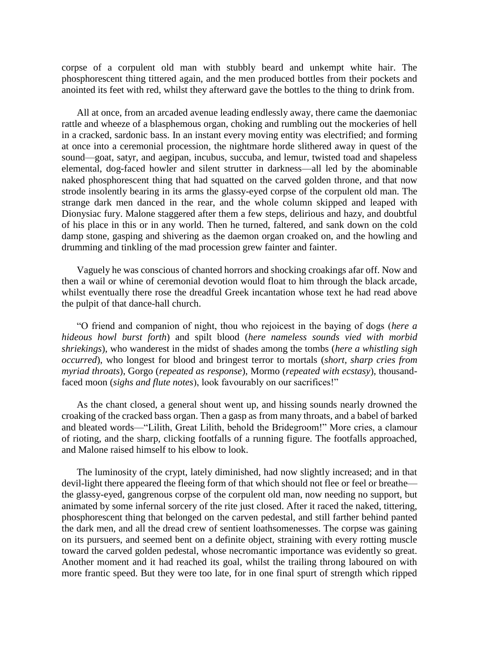corpse of a corpulent old man with stubbly beard and unkempt white hair. The phosphorescent thing tittered again, and the men produced bottles from their pockets and anointed its feet with red, whilst they afterward gave the bottles to the thing to drink from.

All at once, from an arcaded avenue leading endlessly away, there came the daemoniac rattle and wheeze of a blasphemous organ, choking and rumbling out the mockeries of hell in a cracked, sardonic bass. In an instant every moving entity was electrified; and forming at once into a ceremonial procession, the nightmare horde slithered away in quest of the sound—goat, satyr, and aegipan, incubus, succuba, and lemur, twisted toad and shapeless elemental, dog-faced howler and silent strutter in darkness—all led by the abominable naked phosphorescent thing that had squatted on the carved golden throne, and that now strode insolently bearing in its arms the glassy-eyed corpse of the corpulent old man. The strange dark men danced in the rear, and the whole column skipped and leaped with Dionysiac fury. Malone staggered after them a few steps, delirious and hazy, and doubtful of his place in this or in any world. Then he turned, faltered, and sank down on the cold damp stone, gasping and shivering as the daemon organ croaked on, and the howling and drumming and tinkling of the mad procession grew fainter and fainter.

Vaguely he was conscious of chanted horrors and shocking croakings afar off. Now and then a wail or whine of ceremonial devotion would float to him through the black arcade, whilst eventually there rose the dreadful Greek incantation whose text he had read above the pulpit of that dance-hall church.

"O friend and companion of night, thou who rejoicest in the baying of dogs (*here a hideous howl burst forth*) and spilt blood (*here nameless sounds vied with morbid shriekings*), who wanderest in the midst of shades among the tombs (*here a whistling sigh occurred*), who longest for blood and bringest terror to mortals (*short, sharp cries from myriad throats*), Gorgo (*repeated as response*), Mormo (*repeated with ecstasy*), thousandfaced moon (*sighs and flute notes*), look favourably on our sacrifices!"

As the chant closed, a general shout went up, and hissing sounds nearly drowned the croaking of the cracked bass organ. Then a gasp as from many throats, and a babel of barked and bleated words—"Lilith, Great Lilith, behold the Bridegroom!" More cries, a clamour of rioting, and the sharp, clicking footfalls of a running figure. The footfalls approached, and Malone raised himself to his elbow to look.

The luminosity of the crypt, lately diminished, had now slightly increased; and in that devil-light there appeared the fleeing form of that which should not flee or feel or breathe the glassy-eyed, gangrenous corpse of the corpulent old man, now needing no support, but animated by some infernal sorcery of the rite just closed. After it raced the naked, tittering, phosphorescent thing that belonged on the carven pedestal, and still farther behind panted the dark men, and all the dread crew of sentient loathsomenesses. The corpse was gaining on its pursuers, and seemed bent on a definite object, straining with every rotting muscle toward the carved golden pedestal, whose necromantic importance was evidently so great. Another moment and it had reached its goal, whilst the trailing throng laboured on with more frantic speed. But they were too late, for in one final spurt of strength which ripped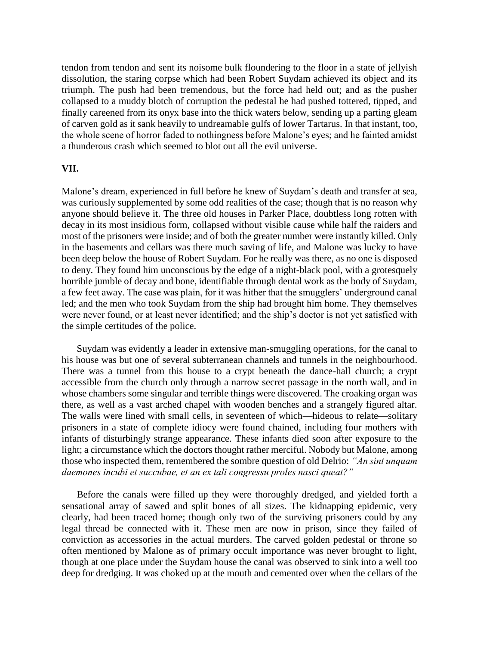tendon from tendon and sent its noisome bulk floundering to the floor in a state of jellyish dissolution, the staring corpse which had been Robert Suydam achieved its object and its triumph. The push had been tremendous, but the force had held out; and as the pusher collapsed to a muddy blotch of corruption the pedestal he had pushed tottered, tipped, and finally careened from its onyx base into the thick waters below, sending up a parting gleam of carven gold as it sank heavily to undreamable gulfs of lower Tartarus. In that instant, too, the whole scene of horror faded to nothingness before Malone's eyes; and he fainted amidst a thunderous crash which seemed to blot out all the evil universe.

#### **VII.**

Malone's dream, experienced in full before he knew of Suydam's death and transfer at sea, was curiously supplemented by some odd realities of the case; though that is no reason why anyone should believe it. The three old houses in Parker Place, doubtless long rotten with decay in its most insidious form, collapsed without visible cause while half the raiders and most of the prisoners were inside; and of both the greater number were instantly killed. Only in the basements and cellars was there much saving of life, and Malone was lucky to have been deep below the house of Robert Suydam. For he really was there, as no one is disposed to deny. They found him unconscious by the edge of a night-black pool, with a grotesquely horrible jumble of decay and bone, identifiable through dental work as the body of Suydam, a few feet away. The case was plain, for it was hither that the smugglers' underground canal led; and the men who took Suydam from the ship had brought him home. They themselves were never found, or at least never identified; and the ship's doctor is not yet satisfied with the simple certitudes of the police.

Suydam was evidently a leader in extensive man-smuggling operations, for the canal to his house was but one of several subterranean channels and tunnels in the neighbourhood. There was a tunnel from this house to a crypt beneath the dance-hall church; a crypt accessible from the church only through a narrow secret passage in the north wall, and in whose chambers some singular and terrible things were discovered. The croaking organ was there, as well as a vast arched chapel with wooden benches and a strangely figured altar. The walls were lined with small cells, in seventeen of which—hideous to relate—solitary prisoners in a state of complete idiocy were found chained, including four mothers with infants of disturbingly strange appearance. These infants died soon after exposure to the light; a circumstance which the doctors thought rather merciful. Nobody but Malone, among those who inspected them, remembered the sombre question of old Delrio: *"An sint unquam daemones incubi et succubae, et an ex tali congressu proles nasci queat?"*

Before the canals were filled up they were thoroughly dredged, and yielded forth a sensational array of sawed and split bones of all sizes. The kidnapping epidemic, very clearly, had been traced home; though only two of the surviving prisoners could by any legal thread be connected with it. These men are now in prison, since they failed of conviction as accessories in the actual murders. The carved golden pedestal or throne so often mentioned by Malone as of primary occult importance was never brought to light, though at one place under the Suydam house the canal was observed to sink into a well too deep for dredging. It was choked up at the mouth and cemented over when the cellars of the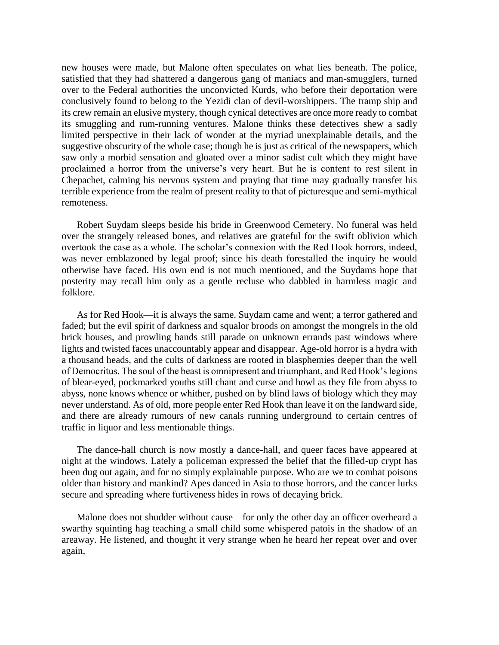new houses were made, but Malone often speculates on what lies beneath. The police, satisfied that they had shattered a dangerous gang of maniacs and man-smugglers, turned over to the Federal authorities the unconvicted Kurds, who before their deportation were conclusively found to belong to the Yezidi clan of devil-worshippers. The tramp ship and its crew remain an elusive mystery, though cynical detectives are once more ready to combat its smuggling and rum-running ventures. Malone thinks these detectives shew a sadly limited perspective in their lack of wonder at the myriad unexplainable details, and the suggestive obscurity of the whole case; though he is just as critical of the newspapers, which saw only a morbid sensation and gloated over a minor sadist cult which they might have proclaimed a horror from the universe's very heart. But he is content to rest silent in Chepachet, calming his nervous system and praying that time may gradually transfer his terrible experience from the realm of present reality to that of picturesque and semi-mythical remoteness.

Robert Suydam sleeps beside his bride in Greenwood Cemetery. No funeral was held over the strangely released bones, and relatives are grateful for the swift oblivion which overtook the case as a whole. The scholar's connexion with the Red Hook horrors, indeed, was never emblazoned by legal proof; since his death forestalled the inquiry he would otherwise have faced. His own end is not much mentioned, and the Suydams hope that posterity may recall him only as a gentle recluse who dabbled in harmless magic and folklore.

As for Red Hook—it is always the same. Suydam came and went; a terror gathered and faded; but the evil spirit of darkness and squalor broods on amongst the mongrels in the old brick houses, and prowling bands still parade on unknown errands past windows where lights and twisted faces unaccountably appear and disappear. Age-old horror is a hydra with a thousand heads, and the cults of darkness are rooted in blasphemies deeper than the well of Democritus. The soul of the beast is omnipresent and triumphant, and Red Hook's legions of blear-eyed, pockmarked youths still chant and curse and howl as they file from abyss to abyss, none knows whence or whither, pushed on by blind laws of biology which they may never understand. As of old, more people enter Red Hook than leave it on the landward side, and there are already rumours of new canals running underground to certain centres of traffic in liquor and less mentionable things.

The dance-hall church is now mostly a dance-hall, and queer faces have appeared at night at the windows. Lately a policeman expressed the belief that the filled-up crypt has been dug out again, and for no simply explainable purpose. Who are we to combat poisons older than history and mankind? Apes danced in Asia to those horrors, and the cancer lurks secure and spreading where furtiveness hides in rows of decaying brick.

Malone does not shudder without cause—for only the other day an officer overheard a swarthy squinting hag teaching a small child some whispered patois in the shadow of an areaway. He listened, and thought it very strange when he heard her repeat over and over again,